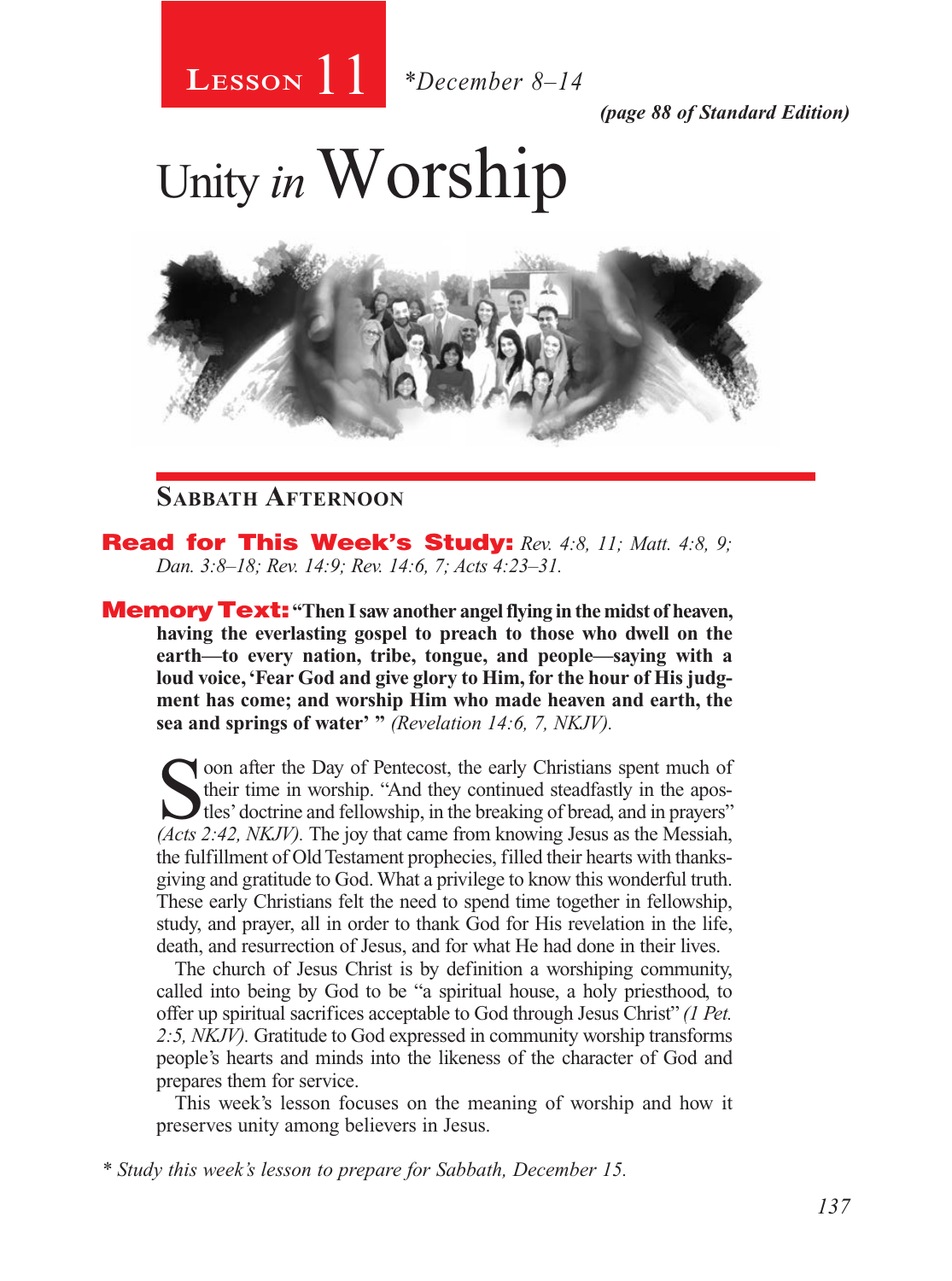

*(page 88 of Standard Edition)*

# Unity *in* Worship



## **Sabbath Afternoon**

**Read for This Week's Study:** Rev. 4:8, 11; Matt. 4:8, 9; *Dan. 3:8–18; Rev. 14:9; Rev. 14:6, 7; Acts 4:23–31.*

**Memory Text:** "Then I saw another angel flying in the midst of heaven, **having the everlasting gospel to preach to those who dwell on the earth—to every nation, tribe, tongue, and people—saying with a loud voice, 'Fear God and give glory to Him, for the hour of His judgment has come; and worship Him who made heaven and earth, the sea and springs of water' "** *(Revelation 14:6, 7, NKJV).* 

Soon after the Day of Pentecost, the early Christians spent much of their time in worship. "And they continued steadfastly in the apos-<br>tles' doctrine and fellowship, in the breaking of bread, and in prayers"<br>(dets  $2:42 \$ their time in worship. "And they continued steadfastly in the apos-*(Acts 2:42, NKJV).* The joy that came from knowing Jesus as the Messiah, the fulfillment of Old Testament prophecies, filled their hearts with thanksgiving and gratitude to God. What a privilege to know this wonderful truth. These early Christians felt the need to spend time together in fellowship, study, and prayer, all in order to thank God for His revelation in the life, death, and resurrection of Jesus, and for what He had done in their lives.

The church of Jesus Christ is by definition a worshiping community, called into being by God to be "a spiritual house, a holy priesthood, to offer up spiritual sacrifices acceptable to God through Jesus Christ" *(1 Pet. 2:5, NKJV).* Gratitude to God expressed in community worship transforms people's hearts and minds into the likeness of the character of God and prepares them for service.

This week's lesson focuses on the meaning of worship and how it preserves unity among believers in Jesus.

*\* Study this week's lesson to prepare for Sabbath, December 15.*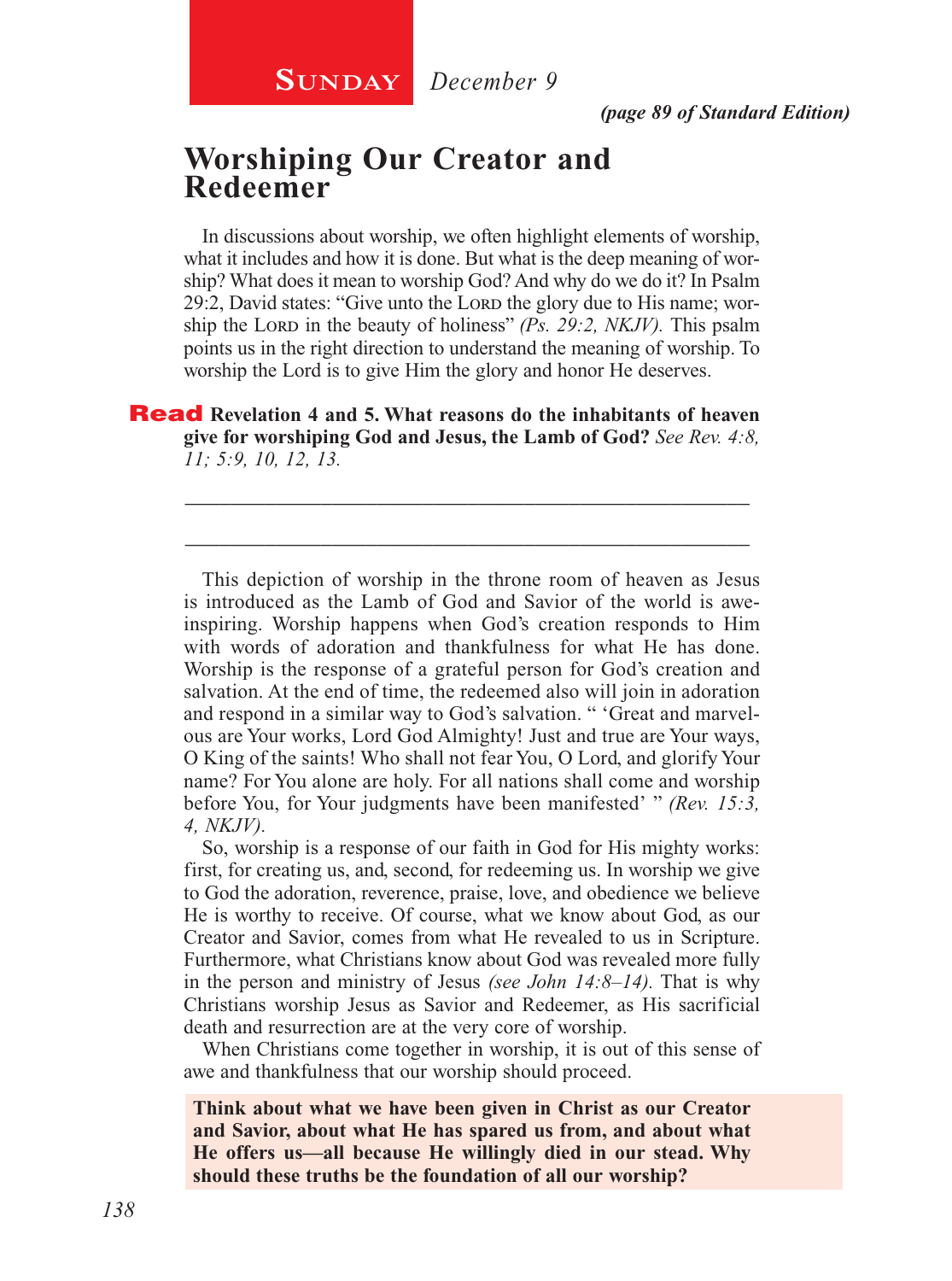## **Worshiping Our Creator and Redeemer**

In discussions about worship, we often highlight elements of worship, what it includes and how it is done. But what is the deep meaning of worship? What does it mean to worship God? And why do we do it? In Psalm 29:2, David states: "Give unto the Lord the glory due to His name; worship the Lord in the beauty of holiness" *(Ps. 29:2, NKJV)*. This psalm points us in the right direction to understand the meaning of worship. To worship the Lord is to give Him the glory and honor He deserves.

Read **Revelation 4 and 5. What reasons do the inhabitants of heaven give for worshiping God and Jesus, the Lamb of God?** *See Rev. 4:8, 11; 5:9, 10, 12, 13.*

\_\_\_\_\_\_\_\_\_\_\_\_\_\_\_\_\_\_\_\_\_\_\_\_\_\_\_\_\_\_\_\_\_\_\_\_\_\_\_\_\_\_\_\_\_\_\_\_\_\_

\_\_\_\_\_\_\_\_\_\_\_\_\_\_\_\_\_\_\_\_\_\_\_\_\_\_\_\_\_\_\_\_\_\_\_\_\_\_\_\_\_\_\_\_\_\_\_\_\_\_

This depiction of worship in the throne room of heaven as Jesus is introduced as the Lamb of God and Savior of the world is aweinspiring. Worship happens when God's creation responds to Him with words of adoration and thankfulness for what He has done. Worship is the response of a grateful person for God's creation and salvation. At the end of time, the redeemed also will join in adoration and respond in a similar way to God's salvation. " 'Great and marvelous are Your works, Lord God Almighty! Just and true are Your ways, O King of the saints! Who shall not fear You, O Lord, and glorify Your name? For You alone are holy. For all nations shall come and worship before You, for Your judgments have been manifested' " *(Rev. 15:3, 4, NKJV).*

So, worship is a response of our faith in God for His mighty works: first, for creating us, and, second, for redeeming us. In worship we give to God the adoration, reverence, praise, love, and obedience we believe He is worthy to receive. Of course, what we know about God, as our Creator and Savior, comes from what He revealed to us in Scripture. Furthermore, what Christians know about God was revealed more fully in the person and ministry of Jesus *(see John 14:8–14).* That is why Christians worship Jesus as Savior and Redeemer, as His sacrificial death and resurrection are at the very core of worship.

When Christians come together in worship, it is out of this sense of awe and thankfulness that our worship should proceed.

**Think about what we have been given in Christ as our Creator and Savior, about what He has spared us from, and about what He offers us—all because He willingly died in our stead. Why should these truths be the foundation of all our worship?**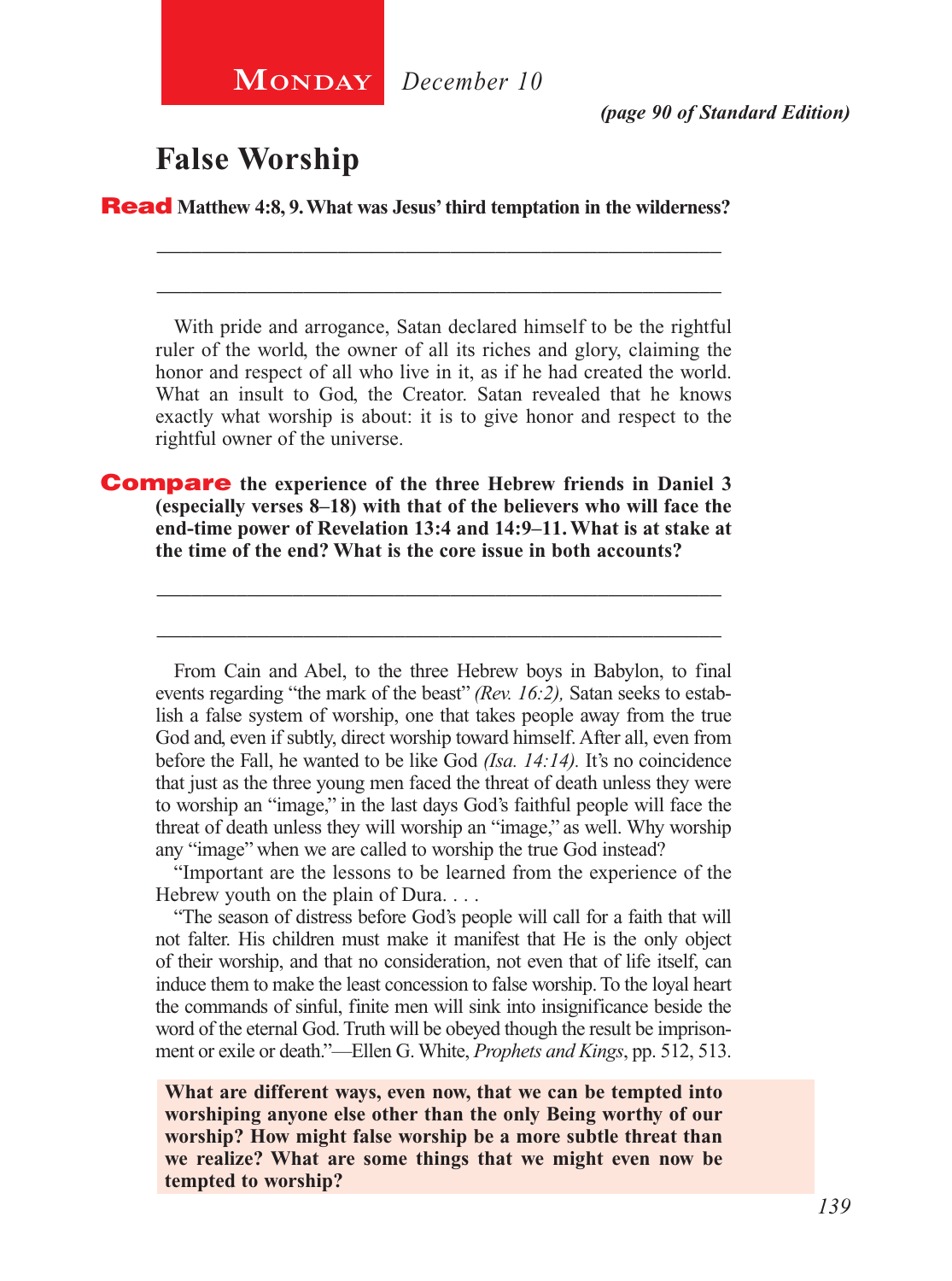**MONDAY** December 10

*(page 90 of Standard Edition)*

## **False Worship**

Read **Matthew 4:8, 9. What was Jesus' third temptation in the wilderness?** 

\_\_\_\_\_\_\_\_\_\_\_\_\_\_\_\_\_\_\_\_\_\_\_\_\_\_\_\_\_\_\_\_\_\_\_\_\_\_\_\_\_\_\_\_\_\_\_\_\_\_

\_\_\_\_\_\_\_\_\_\_\_\_\_\_\_\_\_\_\_\_\_\_\_\_\_\_\_\_\_\_\_\_\_\_\_\_\_\_\_\_\_\_\_\_\_\_\_\_\_\_

With pride and arrogance, Satan declared himself to be the rightful ruler of the world, the owner of all its riches and glory, claiming the honor and respect of all who live in it, as if he had created the world. What an insult to God, the Creator. Satan revealed that he knows exactly what worship is about: it is to give honor and respect to the rightful owner of the universe.

Compare **the experience of the three Hebrew friends in Daniel 3 (especially verses 8–18) with that of the believers who will face the end-time power of Revelation 13:4 and 14:9–11. What is at stake at the time of the end? What is the core issue in both accounts?**

\_\_\_\_\_\_\_\_\_\_\_\_\_\_\_\_\_\_\_\_\_\_\_\_\_\_\_\_\_\_\_\_\_\_\_\_\_\_\_\_\_\_\_\_\_\_\_\_\_\_

\_\_\_\_\_\_\_\_\_\_\_\_\_\_\_\_\_\_\_\_\_\_\_\_\_\_\_\_\_\_\_\_\_\_\_\_\_\_\_\_\_\_\_\_\_\_\_\_\_\_

From Cain and Abel, to the three Hebrew boys in Babylon, to final events regarding "the mark of the beast" *(Rev. 16:2),* Satan seeks to establish a false system of worship, one that takes people away from the true God and, even if subtly, direct worship toward himself. After all, even from before the Fall, he wanted to be like God *(Isa. 14:14).* It's no coincidence that just as the three young men faced the threat of death unless they were to worship an "image," in the last days God's faithful people will face the threat of death unless they will worship an "image," as well. Why worship any "image" when we are called to worship the true God instead?

"Important are the lessons to be learned from the experience of the Hebrew youth on the plain of Dura. . . .

"The season of distress before God's people will call for a faith that will not falter. His children must make it manifest that He is the only object of their worship, and that no consideration, not even that of life itself, can induce them to make the least concession to false worship. To the loyal heart the commands of sinful, finite men will sink into insignificance beside the word of the eternal God. Truth will be obeyed though the result be imprisonment or exile or death."—Ellen G. White, *Prophets and Kings*, pp. 512, 513.

**What are different ways, even now, that we can be tempted into worshiping anyone else other than the only Being worthy of our worship? How might false worship be a more subtle threat than we realize? What are some things that we might even now be tempted to worship?**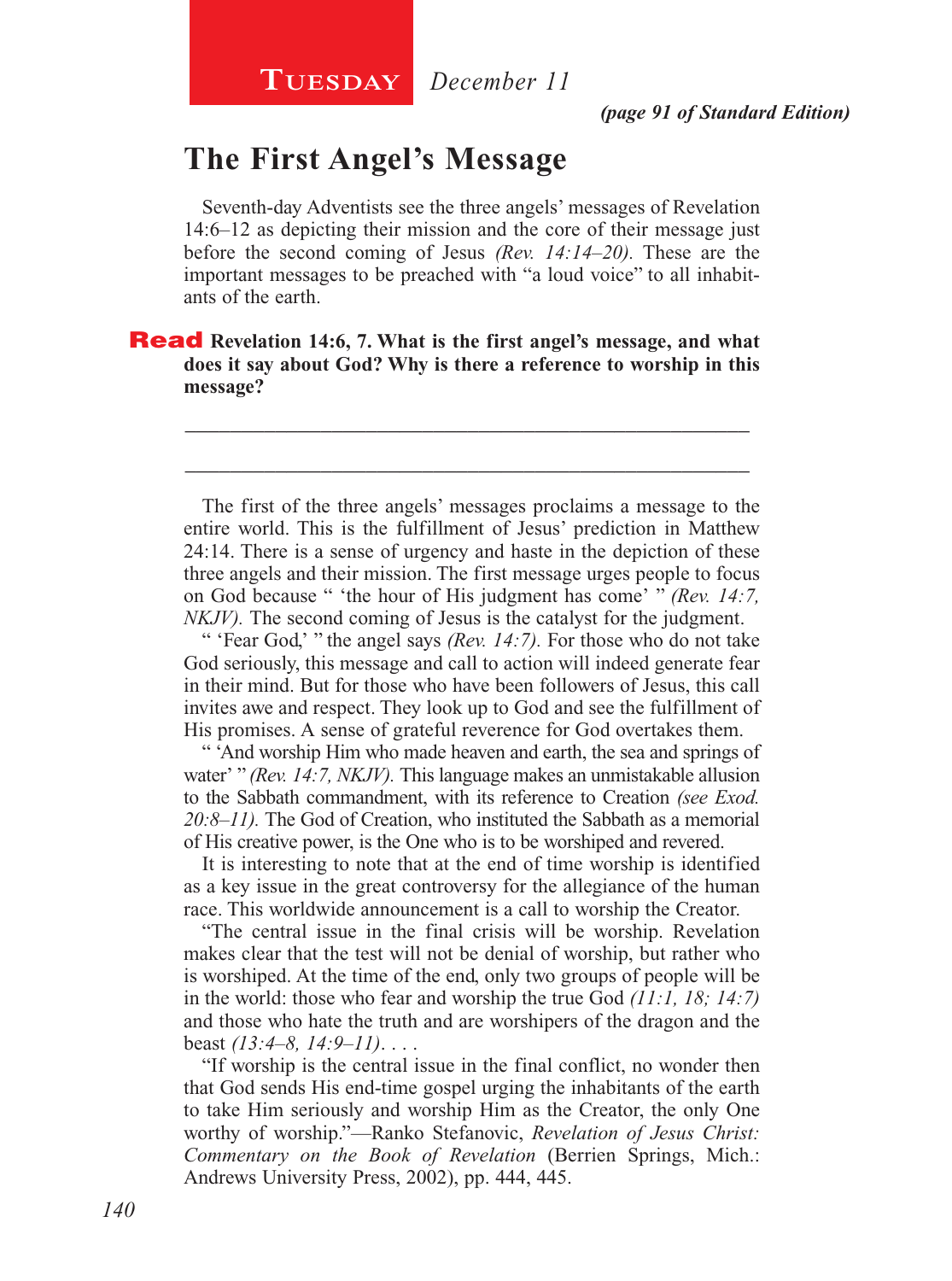## **The First Angel's Message**

Seventh-day Adventists see the three angels' messages of Revelation 14:6–12 as depicting their mission and the core of their message just before the second coming of Jesus *(Rev. 14:14–20).* These are the important messages to be preached with "a loud voice" to all inhabitants of the earth.

Read **Revelation 14:6, 7. What is the first angel's message, and what does it say about God? Why is there a reference to worship in this message?**

The first of the three angels' messages proclaims a message to the entire world. This is the fulfillment of Jesus' prediction in Matthew 24:14. There is a sense of urgency and haste in the depiction of these three angels and their mission. The first message urges people to focus on God because " 'the hour of His judgment has come' " *(Rev. 14:7, NKJV*). The second coming of Jesus is the catalyst for the judgment.

\_\_\_\_\_\_\_\_\_\_\_\_\_\_\_\_\_\_\_\_\_\_\_\_\_\_\_\_\_\_\_\_\_\_\_\_\_\_\_\_\_\_\_\_\_\_\_\_\_\_

\_\_\_\_\_\_\_\_\_\_\_\_\_\_\_\_\_\_\_\_\_\_\_\_\_\_\_\_\_\_\_\_\_\_\_\_\_\_\_\_\_\_\_\_\_\_\_\_\_\_

" 'Fear God,' " the angel says *(Rev. 14:7).* For those who do not take God seriously, this message and call to action will indeed generate fear in their mind. But for those who have been followers of Jesus, this call invites awe and respect. They look up to God and see the fulfillment of His promises. A sense of grateful reverence for God overtakes them.

" 'And worship Him who made heaven and earth, the sea and springs of water' " *(Rev. 14:7, NKJV).* This language makes an unmistakable allusion to the Sabbath commandment, with its reference to Creation *(see Exod. 20:8–11).* The God of Creation, who instituted the Sabbath as a memorial of His creative power, is the One who is to be worshiped and revered.

It is interesting to note that at the end of time worship is identified as a key issue in the great controversy for the allegiance of the human race. This worldwide announcement is a call to worship the Creator.

"The central issue in the final crisis will be worship. Revelation makes clear that the test will not be denial of worship, but rather who is worshiped. At the time of the end, only two groups of people will be in the world: those who fear and worship the true God *(11:1, 18; 14:7)*  and those who hate the truth and are worshipers of the dragon and the beast *(13:4–8, 14:9–11)*. . . .

"If worship is the central issue in the final conflict, no wonder then that God sends His end-time gospel urging the inhabitants of the earth to take Him seriously and worship Him as the Creator, the only One worthy of worship."—Ranko Stefanovic, *Revelation of Jesus Christ: Commentary on the Book of Revelation* (Berrien Springs, Mich.: Andrews University Press, 2002), pp. 444, 445.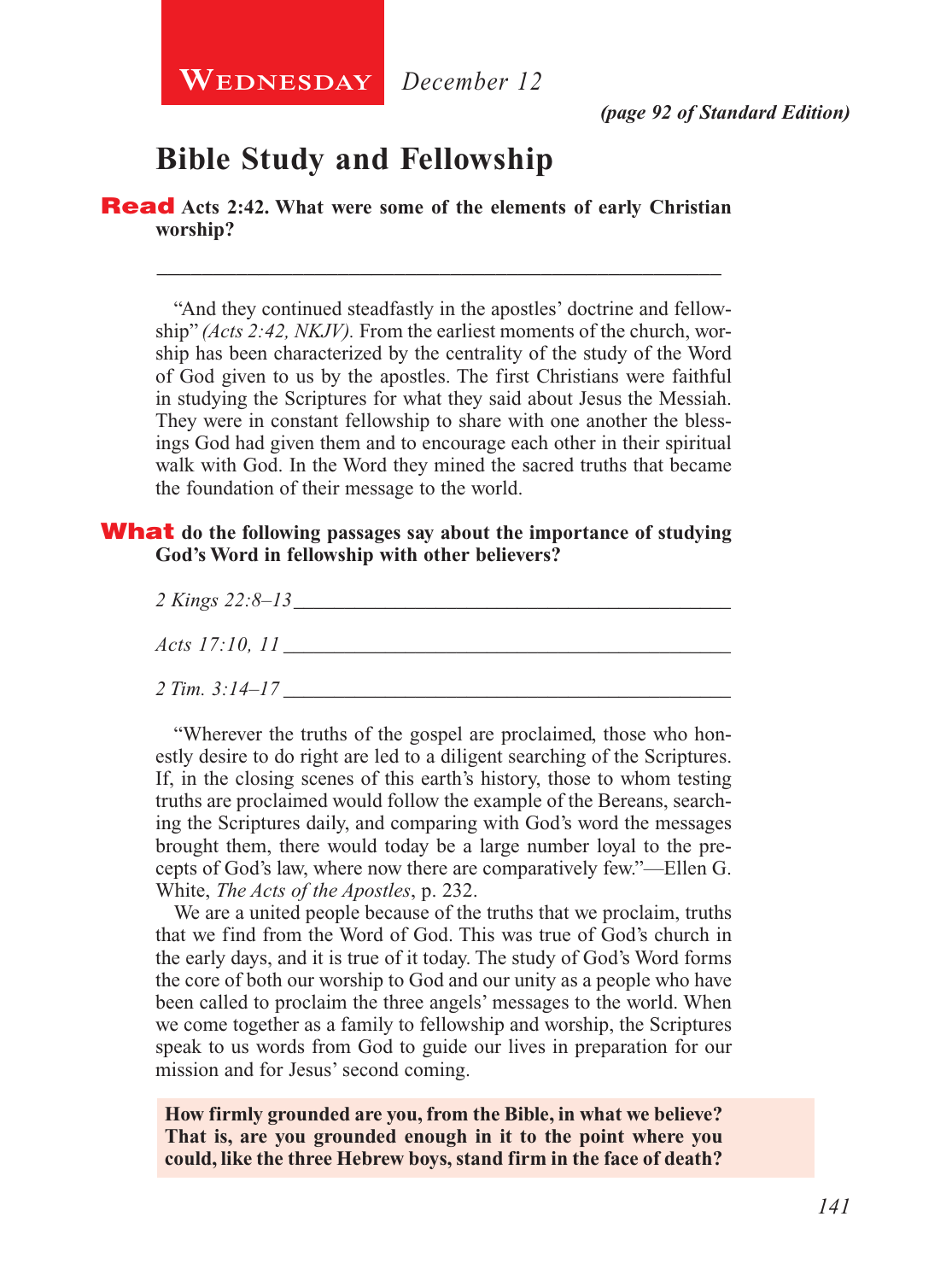

*(page 92 of Standard Edition)*

## **Bible Study and Fellowship**

Read **Acts 2:42. What were some of the elements of early Christian worship?**

"And they continued steadfastly in the apostles' doctrine and fellowship" *(Acts 2:42, NKJV).* From the earliest moments of the church, worship has been characterized by the centrality of the study of the Word of God given to us by the apostles. The first Christians were faithful in studying the Scriptures for what they said about Jesus the Messiah. They were in constant fellowship to share with one another the blessings God had given them and to encourage each other in their spiritual walk with God. In the Word they mined the sacred truths that became the foundation of their message to the world.

\_\_\_\_\_\_\_\_\_\_\_\_\_\_\_\_\_\_\_\_\_\_\_\_\_\_\_\_\_\_\_\_\_\_\_\_\_\_\_\_\_\_\_\_\_\_\_\_\_\_

#### What **do the following passages say about the importance of studying God's Word in fellowship with other believers?**

| 2 Kings 22:8-13       |  |
|-----------------------|--|
| <i>Acts</i> 17:10, 11 |  |
| $2 Tim. 3:14-17$      |  |

"Wherever the truths of the gospel are proclaimed, those who honestly desire to do right are led to a diligent searching of the Scriptures. If, in the closing scenes of this earth's history, those to whom testing truths are proclaimed would follow the example of the Bereans, searching the Scriptures daily, and comparing with God's word the messages brought them, there would today be a large number loyal to the precepts of God's law, where now there are comparatively few."—Ellen G. White, *The Acts of the Apostles*, p. 232.

We are a united people because of the truths that we proclaim, truths that we find from the Word of God. This was true of God's church in the early days, and it is true of it today. The study of God's Word forms the core of both our worship to God and our unity as a people who have been called to proclaim the three angels' messages to the world. When we come together as a family to fellowship and worship, the Scriptures speak to us words from God to guide our lives in preparation for our mission and for Jesus' second coming.

**How firmly grounded are you, from the Bible, in what we believe? That is, are you grounded enough in it to the point where you could, like the three Hebrew boys, stand firm in the face of death?**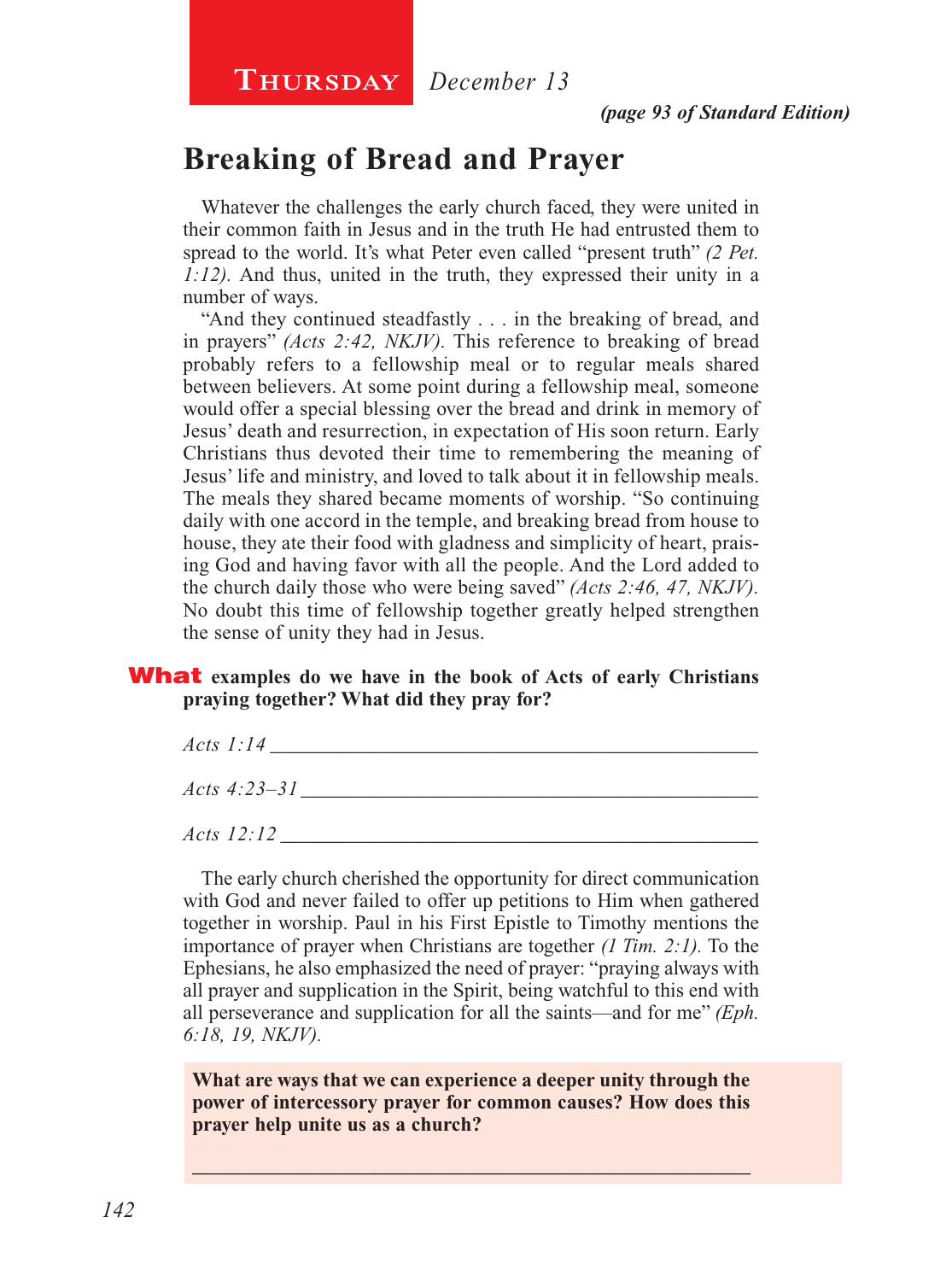**Thursday** *December 13*

## **Breaking of Bread and Prayer**

Whatever the challenges the early church faced, they were united in their common faith in Jesus and in the truth He had entrusted them to spread to the world. It's what Peter even called "present truth" *(2 Pet. 1:12).* And thus, united in the truth, they expressed their unity in a number of ways.

"And they continued steadfastly . . . in the breaking of bread, and in prayers" *(Acts 2:42, NKJV).* This reference to breaking of bread probably refers to a fellowship meal or to regular meals shared between believers. At some point during a fellowship meal, someone would offer a special blessing over the bread and drink in memory of Jesus' death and resurrection, in expectation of His soon return. Early Christians thus devoted their time to remembering the meaning of Jesus' life and ministry, and loved to talk about it in fellowship meals. The meals they shared became moments of worship. "So continuing daily with one accord in the temple, and breaking bread from house to house, they ate their food with gladness and simplicity of heart, praising God and having favor with all the people. And the Lord added to the church daily those who were being saved" *(Acts 2:46, 47, NKJV).*  No doubt this time of fellowship together greatly helped strengthen the sense of unity they had in Jesus.

#### What **examples do we have in the book of Acts of early Christians praying together? What did they pray for?**

| <i>Acts 1:14</i>  |  |
|-------------------|--|
| Acts 4:23–31      |  |
| <i>Acts</i> 12:12 |  |

The early church cherished the opportunity for direct communication with God and never failed to offer up petitions to Him when gathered together in worship. Paul in his First Epistle to Timothy mentions the importance of prayer when Christians are together *(1 Tim. 2:1).* To the Ephesians, he also emphasized the need of prayer: "praying always with all prayer and supplication in the Spirit, being watchful to this end with all perseverance and supplication for all the saints—and for me" *(Eph. 6:18, 19, NKJV).*

**What are ways that we can experience a deeper unity through the power of intercessory prayer for common causes? How does this prayer help unite us as a church?**

\_\_\_\_\_\_\_\_\_\_\_\_\_\_\_\_\_\_\_\_\_\_\_\_\_\_\_\_\_\_\_\_\_\_\_\_\_\_\_\_\_\_\_\_\_\_\_\_\_\_\_\_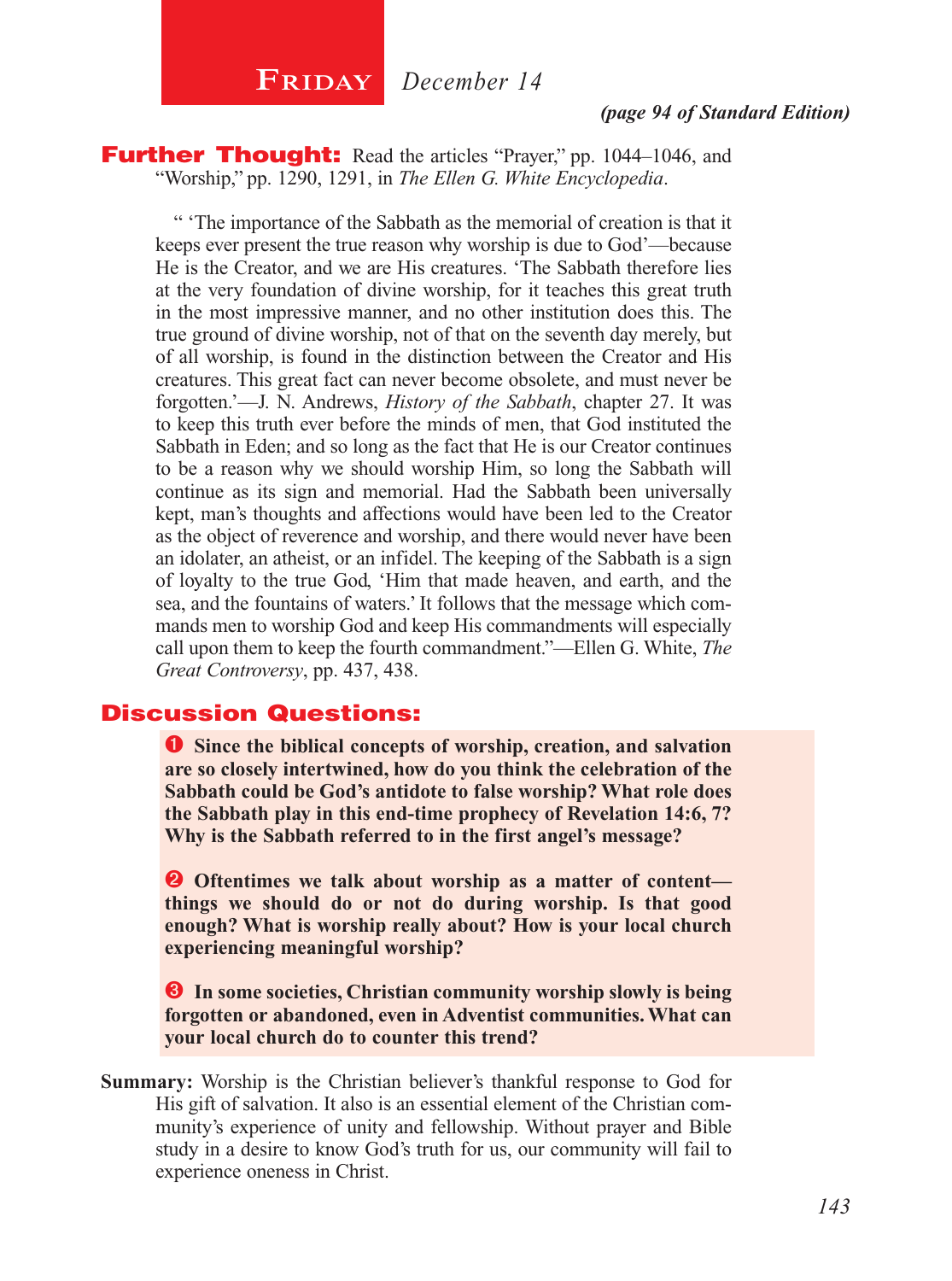$\begin{array}{|c|c|c|}\n\hline\n\textbf{FRIDAY} & \textbf{December 14}\n\end{array}$ 

#### *(page 94 of Standard Edition)*

**Further Thought:** Read the articles "Prayer," pp. 1044–1046, and "Worship," pp. 1290, 1291, in *The Ellen G. White Encyclopedia*.

" 'The importance of the Sabbath as the memorial of creation is that it keeps ever present the true reason why worship is due to God'—because He is the Creator, and we are His creatures. 'The Sabbath therefore lies at the very foundation of divine worship, for it teaches this great truth in the most impressive manner, and no other institution does this. The true ground of divine worship, not of that on the seventh day merely, but of all worship, is found in the distinction between the Creator and His creatures. This great fact can never become obsolete, and must never be forgotten.'—J. N. Andrews, *History of the Sabbath*, chapter 27. It was to keep this truth ever before the minds of men, that God instituted the Sabbath in Eden; and so long as the fact that He is our Creator continues to be a reason why we should worship Him, so long the Sabbath will continue as its sign and memorial. Had the Sabbath been universally kept, man's thoughts and affections would have been led to the Creator as the object of reverence and worship, and there would never have been an idolater, an atheist, or an infidel. The keeping of the Sabbath is a sign of loyalty to the true God, 'Him that made heaven, and earth, and the sea, and the fountains of waters.' It follows that the message which commands men to worship God and keep His commandments will especially call upon them to keep the fourth commandment."—Ellen G. White, *The Great Controversy*, pp. 437, 438.

#### Discussion Questions:

**O** Since the biblical concepts of worship, creation, and salvation **are so closely intertwined, how do you think the celebration of the Sabbath could be God's antidote to false worship? What role does the Sabbath play in this end-time prophecy of Revelation 14:6, 7? Why is the Sabbath referred to in the first angel's message?**

**O** Oftentimes we talk about worship as a matter of content **things we should do or not do during worship. Is that good enough? What is worship really about? How is your local church experiencing meaningful worship?**

 **In some societies, Christian community worship slowly is being forgotten or abandoned, even in Adventist communities. What can your local church do to counter this trend?**

**Summary:** Worship is the Christian believer's thankful response to God for His gift of salvation. It also is an essential element of the Christian community's experience of unity and fellowship. Without prayer and Bible study in a desire to know God's truth for us, our community will fail to experience oneness in Christ.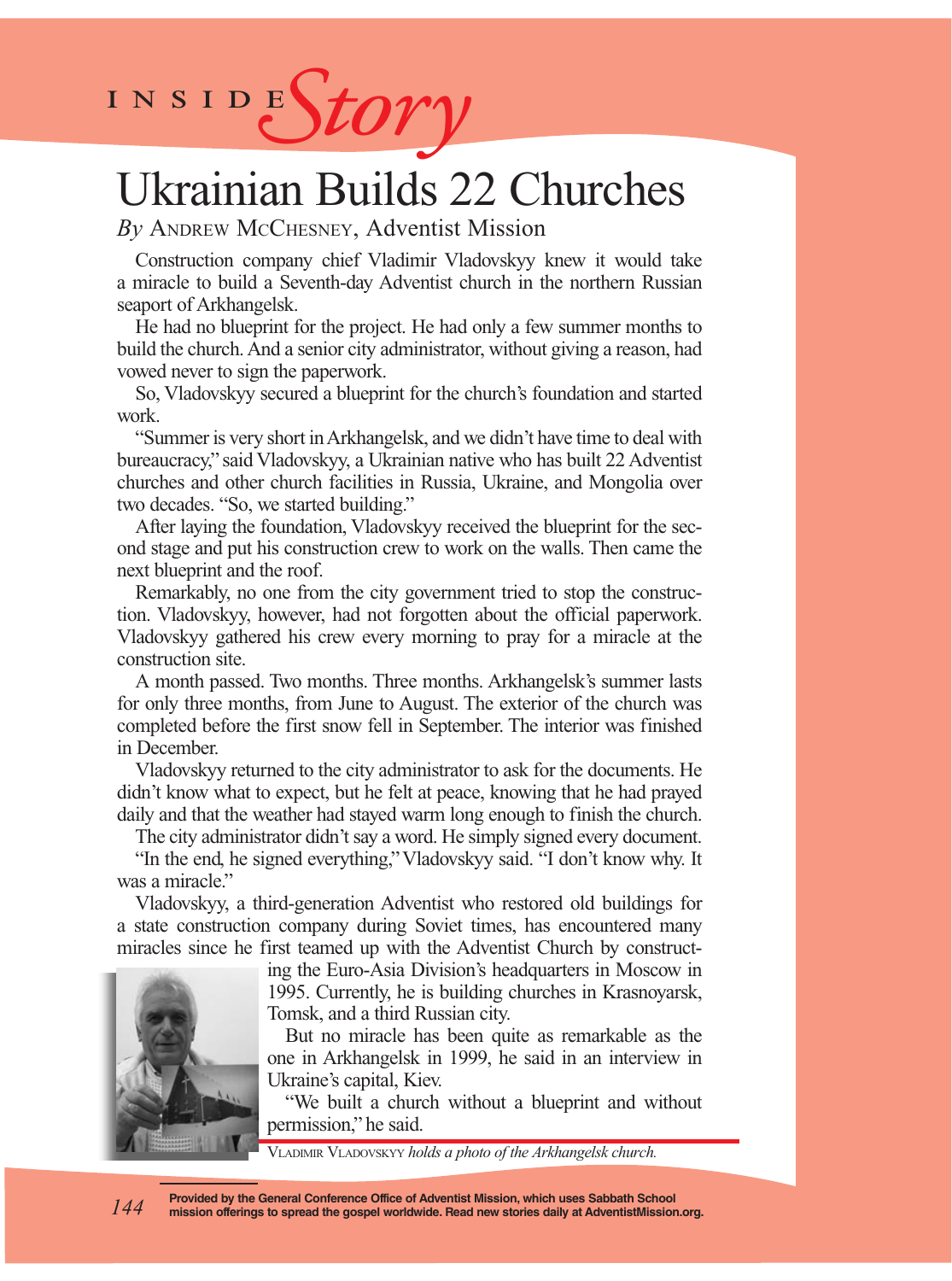

## Ukrainian Builds 22 Churches

*By* Andrew McChesney, Adventist Mission

Construction company chief Vladimir Vladovskyy knew it would take a miracle to build a Seventh-day Adventist church in the northern Russian seaport of Arkhangelsk.

He had no blueprint for the project. He had only a few summer months to build the church. And a senior city administrator, without giving a reason, had vowed never to sign the paperwork.

So, Vladovskyy secured a blueprint for the church's foundation and started work.

"Summer is very short in Arkhangelsk, and we didn't have time to deal with bureaucracy," said Vladovskyy, a Ukrainian native who has built 22 Adventist churches and other church facilities in Russia, Ukraine, and Mongolia over two decades. "So, we started building."

After laying the foundation, Vladovskyy received the blueprint for the second stage and put his construction crew to work on the walls. Then came the next blueprint and the roof.

Remarkably, no one from the city government tried to stop the construction. Vladovskyy, however, had not forgotten about the official paperwork. Vladovskyy gathered his crew every morning to pray for a miracle at the construction site.

A month passed. Two months. Three months. Arkhangelsk's summer lasts for only three months, from June to August. The exterior of the church was completed before the first snow fell in September. The interior was finished in December.

Vladovskyy returned to the city administrator to ask for the documents. He didn't know what to expect, but he felt at peace, knowing that he had prayed daily and that the weather had stayed warm long enough to finish the church.

The city administrator didn't say a word. He simply signed every document.

"In the end, he signed everything," Vladovskyy said. "I don't know why. It was a miracle."

Vladovskyy, a third-generation Adventist who restored old buildings for a state construction company during Soviet times, has encountered many miracles since he first teamed up with the Adventist Church by construct-

> ing the Euro-Asia Division's headquarters in Moscow in 1995. Currently, he is building churches in Krasnoyarsk, Tomsk, and a third Russian city.

> But no miracle has been quite as remarkable as the one in Arkhangelsk in 1999, he said in an interview in Ukraine's capital, Kiev.

> "We built a church without a blueprint and without permission," he said.

Vladimir Vladovskyy *holds a photo of the Arkhangelsk church.*



**Provided by the General Conference Office of Adventist Mission, which uses Sabbath School mission offerings to spread the gospel worldwide. Read new stories daily at AdventistMission.org.** *144*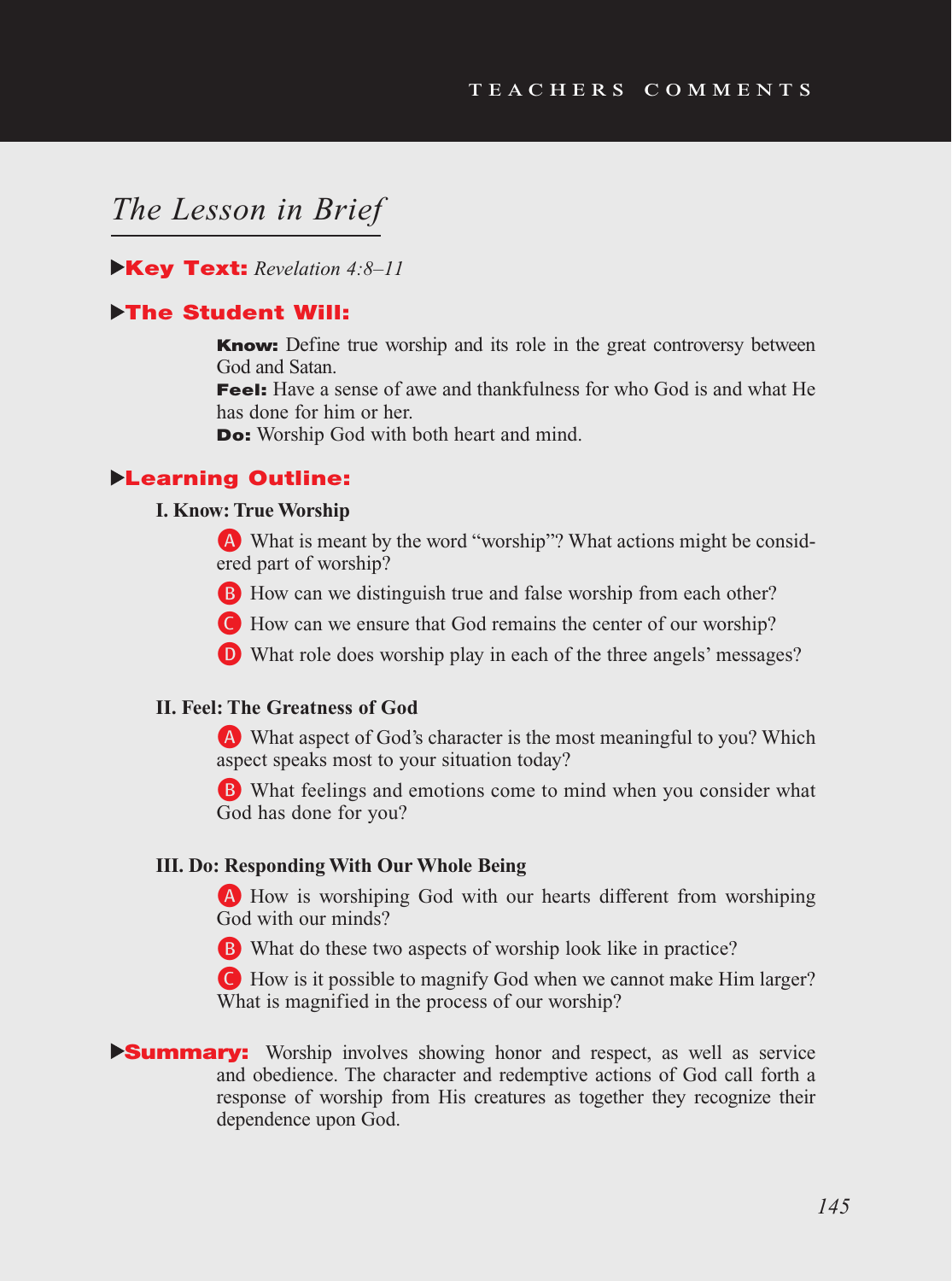## *The Lesson in Brief*

#### Key Text: *Revelation 4:8–11*

#### **>The Student Will:**

Know: Define true worship and its role in the great controversy between God and Satan.

Feel: Have a sense of awe and thankfulness for who God is and what He has done for him or her.

Do: Worship God with both heart and mind.

#### Learning Outline:

#### **I. Know: True Worship**

A What is meant by the word "worship"? What actions might be considered part of worship?

B How can we distinguish true and false worship from each other?

C How can we ensure that God remains the center of our worship?

D What role does worship play in each of the three angels' messages?

#### **II. Feel: The Greatness of God**

A What aspect of God's character is the most meaningful to you? Which aspect speaks most to your situation today?

B What feelings and emotions come to mind when you consider what God has done for you?

#### **III. Do: Responding With Our Whole Being**

A How is worshiping God with our hearts different from worshiping God with our minds?

B What do these two aspects of worship look like in practice?

C How is it possible to magnify God when we cannot make Him larger? What is magnified in the process of our worship?

#### **Summary:** Worship involves showing honor and respect, as well as service and obedience. The character and redemptive actions of God call forth a response of worship from His creatures as together they recognize their dependence upon God.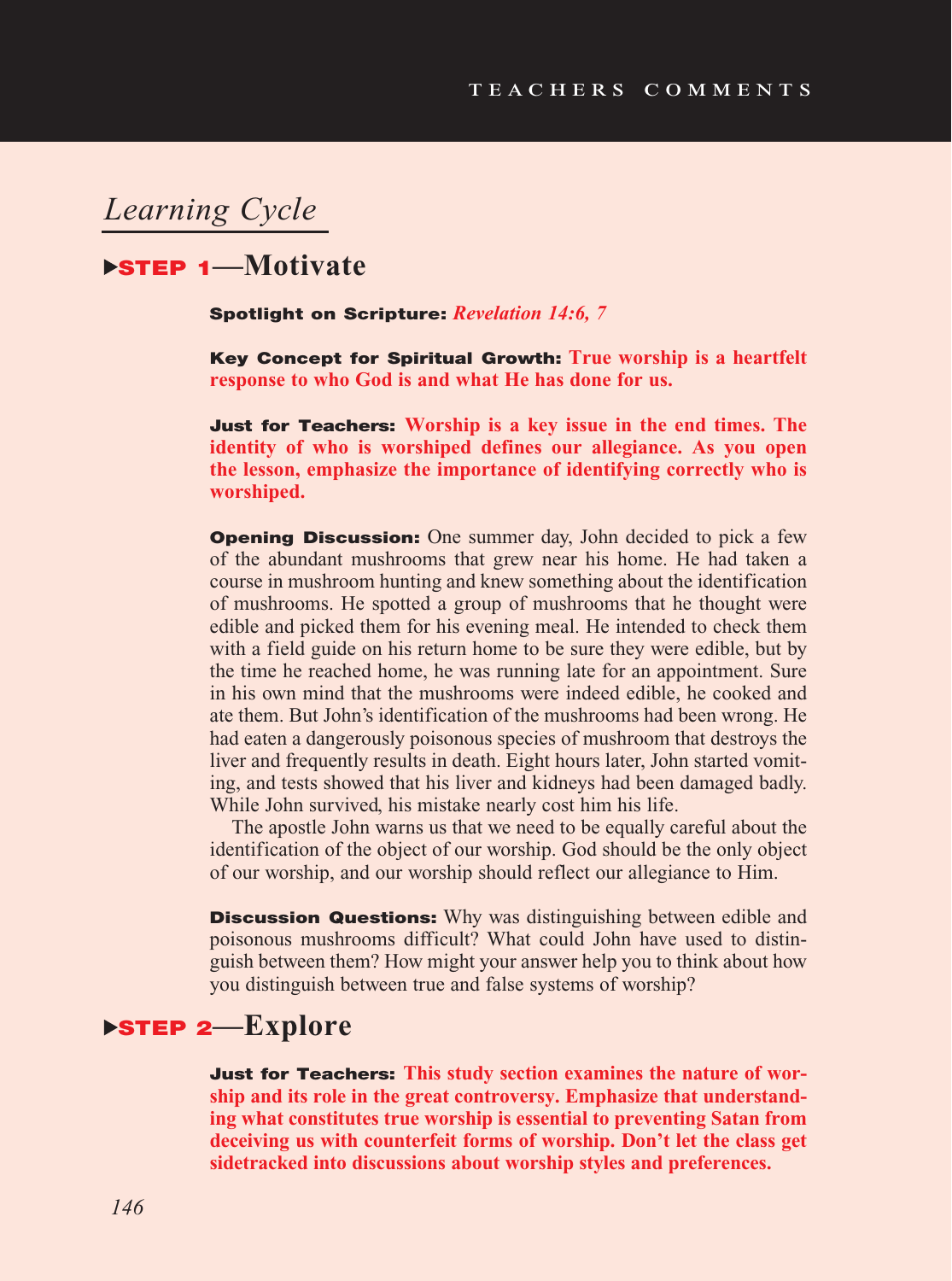## *Learning Cycle*

## STEP 1**—Motivate**

Spotlight on Scripture: *Revelation 14:6, 7*

Key Concept for Spiritual Growth: **True worship is a heartfelt response to who God is and what He has done for us.** 

Just for Teachers: **Worship is a key issue in the end times. The identity of who is worshiped defines our allegiance. As you open the lesson, emphasize the importance of identifying correctly who is worshiped.**

**Opening Discussion:** One summer day, John decided to pick a few of the abundant mushrooms that grew near his home. He had taken a course in mushroom hunting and knew something about the identification of mushrooms. He spotted a group of mushrooms that he thought were edible and picked them for his evening meal. He intended to check them with a field guide on his return home to be sure they were edible, but by the time he reached home, he was running late for an appointment. Sure in his own mind that the mushrooms were indeed edible, he cooked and ate them. But John's identification of the mushrooms had been wrong. He had eaten a dangerously poisonous species of mushroom that destroys the liver and frequently results in death. Eight hours later, John started vomiting, and tests showed that his liver and kidneys had been damaged badly. While John survived, his mistake nearly cost him his life.

The apostle John warns us that we need to be equally careful about the identification of the object of our worship. God should be the only object of our worship, and our worship should reflect our allegiance to Him.

**Discussion Questions:** Why was distinguishing between edible and poisonous mushrooms difficult? What could John have used to distinguish between them? How might your answer help you to think about how you distinguish between true and false systems of worship?

## STEP 2**—Explore**

Just for Teachers: **This study section examines the nature of worship and its role in the great controversy. Emphasize that understanding what constitutes true worship is essential to preventing Satan from deceiving us with counterfeit forms of worship. Don't let the class get sidetracked into discussions about worship styles and preferences.**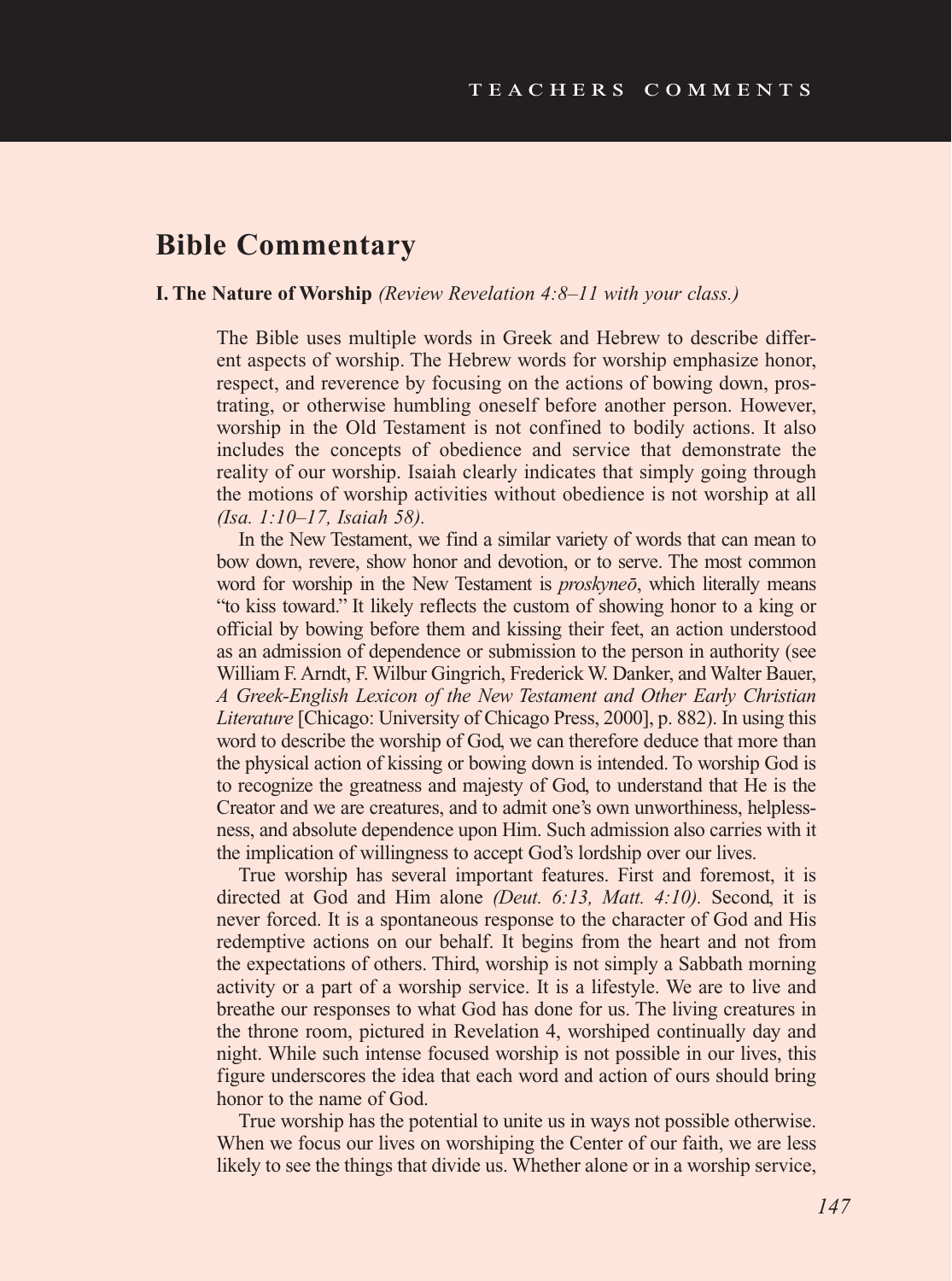### **Bible Commentary**

#### **I. The Nature of Worship** *(Review Revelation 4:8–11 with your class.)*

The Bible uses multiple words in Greek and Hebrew to describe different aspects of worship. The Hebrew words for worship emphasize honor, respect, and reverence by focusing on the actions of bowing down, prostrating, or otherwise humbling oneself before another person. However, worship in the Old Testament is not confined to bodily actions. It also includes the concepts of obedience and service that demonstrate the reality of our worship. Isaiah clearly indicates that simply going through the motions of worship activities without obedience is not worship at all *(Isa. 1:10–17, Isaiah 58).* 

In the New Testament, we find a similar variety of words that can mean to bow down, revere, show honor and devotion, or to serve. The most common word for worship in the New Testament is *proskyneo*, which literally means "to kiss toward." It likely reflects the custom of showing honor to a king or official by bowing before them and kissing their feet, an action understood as an admission of dependence or submission to the person in authority (see William F. Arndt, F. Wilbur Gingrich, Frederick W. Danker, and Walter Bauer, *A Greek-English Lexicon of the New Testament and Other Early Christian Literature* [Chicago: University of Chicago Press, 2000], p. 882). In using this word to describe the worship of God, we can therefore deduce that more than the physical action of kissing or bowing down is intended. To worship God is to recognize the greatness and majesty of God, to understand that He is the Creator and we are creatures, and to admit one's own unworthiness, helplessness, and absolute dependence upon Him. Such admission also carries with it the implication of willingness to accept God's lordship over our lives.

True worship has several important features. First and foremost, it is directed at God and Him alone *(Deut. 6:13, Matt. 4:10).* Second, it is never forced. It is a spontaneous response to the character of God and His redemptive actions on our behalf. It begins from the heart and not from the expectations of others. Third, worship is not simply a Sabbath morning activity or a part of a worship service. It is a lifestyle. We are to live and breathe our responses to what God has done for us. The living creatures in the throne room, pictured in Revelation 4, worshiped continually day and night. While such intense focused worship is not possible in our lives, this figure underscores the idea that each word and action of ours should bring honor to the name of God.

True worship has the potential to unite us in ways not possible otherwise. When we focus our lives on worshiping the Center of our faith, we are less likely to see the things that divide us. Whether alone or in a worship service,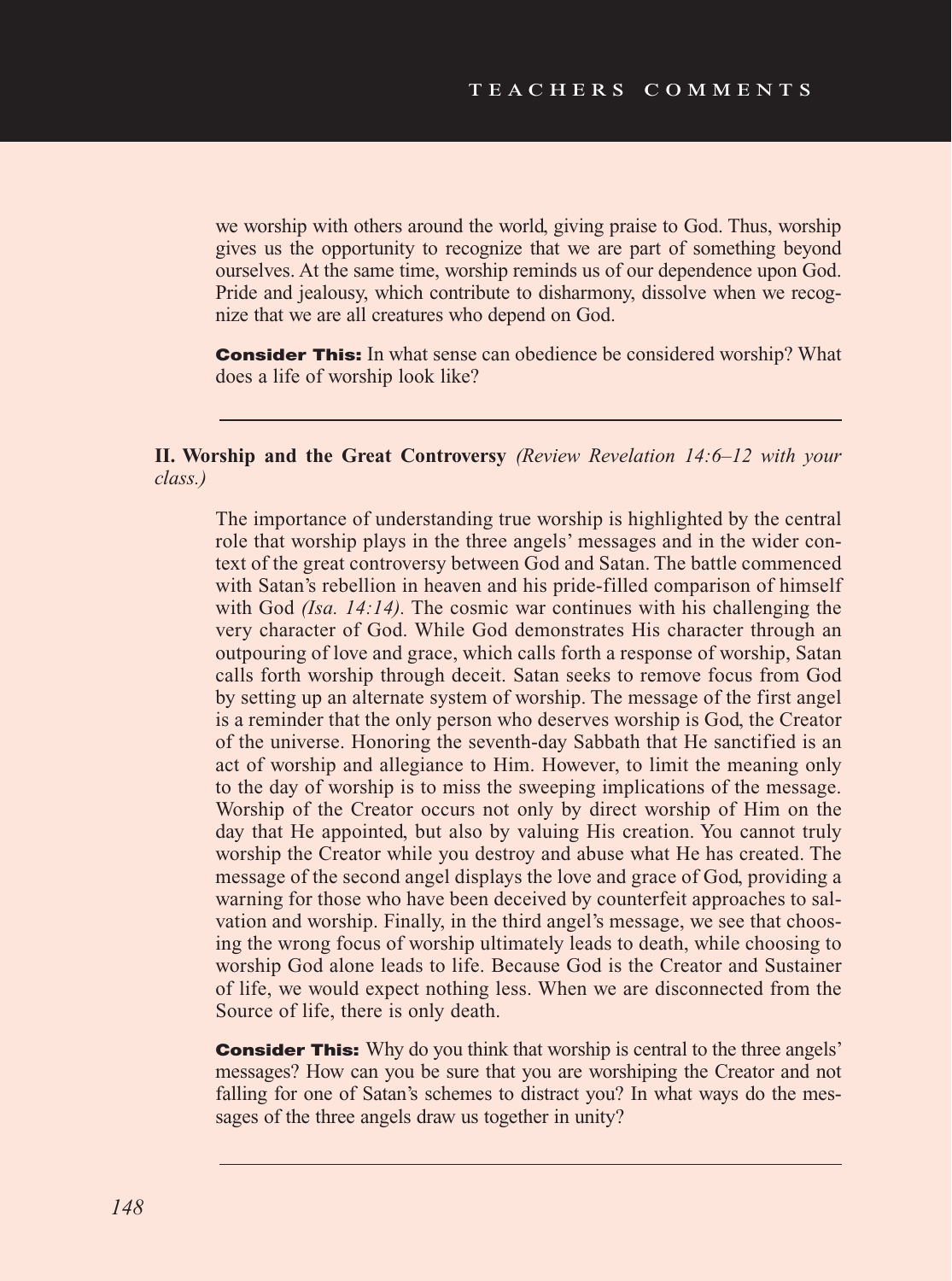we worship with others around the world, giving praise to God. Thus, worship gives us the opportunity to recognize that we are part of something beyond ourselves. At the same time, worship reminds us of our dependence upon God. Pride and jealousy, which contribute to disharmony, dissolve when we recognize that we are all creatures who depend on God.

**Consider This:** In what sense can obedience be considered worship? What does a life of worship look like?

#### **II. Worship and the Great Controversy** *(Review Revelation 14:6–12 with your class.)*

The importance of understanding true worship is highlighted by the central role that worship plays in the three angels' messages and in the wider context of the great controversy between God and Satan. The battle commenced with Satan's rebellion in heaven and his pride-filled comparison of himself with God *(Isa. 14:14)*. The cosmic war continues with his challenging the very character of God. While God demonstrates His character through an outpouring of love and grace, which calls forth a response of worship, Satan calls forth worship through deceit. Satan seeks to remove focus from God by setting up an alternate system of worship. The message of the first angel is a reminder that the only person who deserves worship is God, the Creator of the universe. Honoring the seventh-day Sabbath that He sanctified is an act of worship and allegiance to Him. However, to limit the meaning only to the day of worship is to miss the sweeping implications of the message. Worship of the Creator occurs not only by direct worship of Him on the day that He appointed, but also by valuing His creation. You cannot truly worship the Creator while you destroy and abuse what He has created. The message of the second angel displays the love and grace of God, providing a warning for those who have been deceived by counterfeit approaches to salvation and worship. Finally, in the third angel's message, we see that choosing the wrong focus of worship ultimately leads to death, while choosing to worship God alone leads to life. Because God is the Creator and Sustainer of life, we would expect nothing less. When we are disconnected from the Source of life, there is only death.

**Consider This:** Why do you think that worship is central to the three angels' messages? How can you be sure that you are worshiping the Creator and not falling for one of Satan's schemes to distract you? In what ways do the messages of the three angels draw us together in unity?